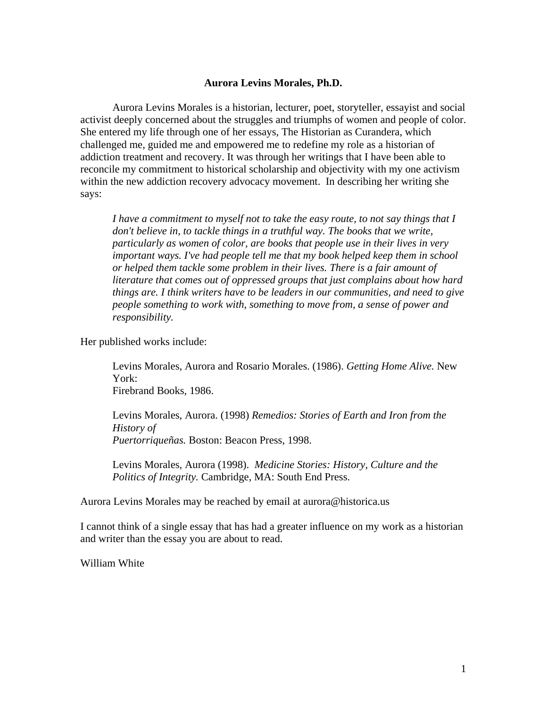## **Aurora Levins Morales, Ph.D.**

Aurora Levins Morales is a historian, lecturer, poet, storyteller, essayist and social activist deeply concerned about the struggles and triumphs of women and people of color. She entered my life through one of her essays, The Historian as Curandera, which challenged me, guided me and empowered me to redefine my role as a historian of addiction treatment and recovery. It was through her writings that I have been able to reconcile my commitment to historical scholarship and objectivity with my one activism within the new addiction recovery advocacy movement. In describing her writing she says:

*I have a commitment to myself not to take the easy route, to not say things that I don't believe in, to tackle things in a truthful way. The books that we write, particularly as women of color, are books that people use in their lives in very important ways. I've had people tell me that my book helped keep them in school or helped them tackle some problem in their lives. There is a fair amount of literature that comes out of oppressed groups that just complains about how hard things are. I think writers have to be leaders in our communities, and need to give people something to work with, something to move from, a sense of power and responsibility.* 

Her published works include:

Levins Morales, Aurora and Rosario Morales. (1986). *Getting Home Alive.* New York: Firebrand Books, 1986.

Levins Morales, Aurora. (1998) *Remedios: Stories of Earth and Iron from the History of Puertorriqueñas.* Boston: Beacon Press, 1998.

Levins Morales, Aurora (1998). *Medicine Stories: History, Culture and the Politics of Integrity.* Cambridge, MA: South End Press.

Aurora Levins Morales may be reached by email at aurora@historica.us

I cannot think of a single essay that has had a greater influence on my work as a historian and writer than the essay you are about to read.

William White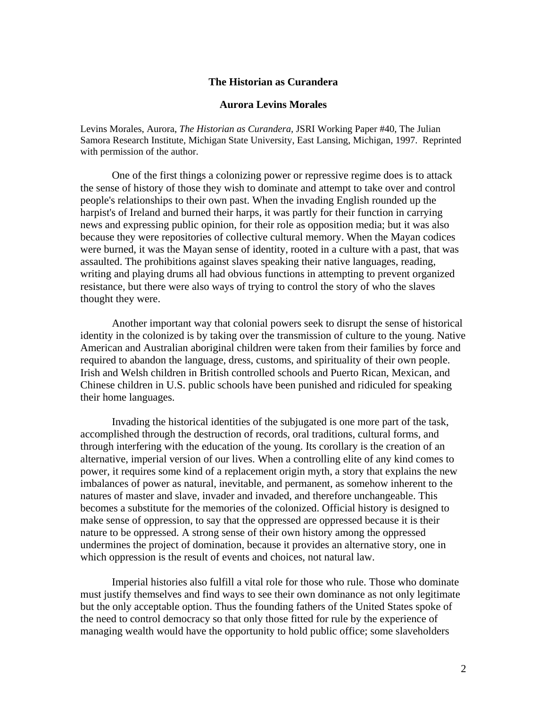### **The Historian as Curandera**

## **Aurora Levins Morales**

Levins Morales, Aurora, *The Historian as Curandera,* JSRI Working Paper #40, The Julian Samora Research Institute, Michigan State University, East Lansing, Michigan, 1997. Reprinted with permission of the author.

One of the first things a colonizing power or repressive regime does is to attack the sense of history of those they wish to dominate and attempt to take over and control people's relationships to their own past. When the invading English rounded up the harpist's of Ireland and burned their harps, it was partly for their function in carrying news and expressing public opinion, for their role as opposition media; but it was also because they were repositories of collective cultural memory. When the Mayan codices were burned, it was the Mayan sense of identity, rooted in a culture with a past, that was assaulted. The prohibitions against slaves speaking their native languages, reading, writing and playing drums all had obvious functions in attempting to prevent organized resistance, but there were also ways of trying to control the story of who the slaves thought they were.

Another important way that colonial powers seek to disrupt the sense of historical identity in the colonized is by taking over the transmission of culture to the young. Native American and Australian aboriginal children were taken from their families by force and required to abandon the language, dress, customs, and spirituality of their own people. Irish and Welsh children in British controlled schools and Puerto Rican, Mexican, and Chinese children in U.S. public schools have been punished and ridiculed for speaking their home languages.

Invading the historical identities of the subjugated is one more part of the task, accomplished through the destruction of records, oral traditions, cultural forms, and through interfering with the education of the young. Its corollary is the creation of an alternative, imperial version of our lives. When a controlling elite of any kind comes to power, it requires some kind of a replacement origin myth, a story that explains the new imbalances of power as natural, inevitable, and permanent, as somehow inherent to the natures of master and slave, invader and invaded, and therefore unchangeable. This becomes a substitute for the memories of the colonized. Official history is designed to make sense of oppression, to say that the oppressed are oppressed because it is their nature to be oppressed. A strong sense of their own history among the oppressed undermines the project of domination, because it provides an alternative story, one in which oppression is the result of events and choices, not natural law.

Imperial histories also fulfill a vital role for those who rule. Those who dominate must justify themselves and find ways to see their own dominance as not only legitimate but the only acceptable option. Thus the founding fathers of the United States spoke of the need to control democracy so that only those fitted for rule by the experience of managing wealth would have the opportunity to hold public office; some slaveholders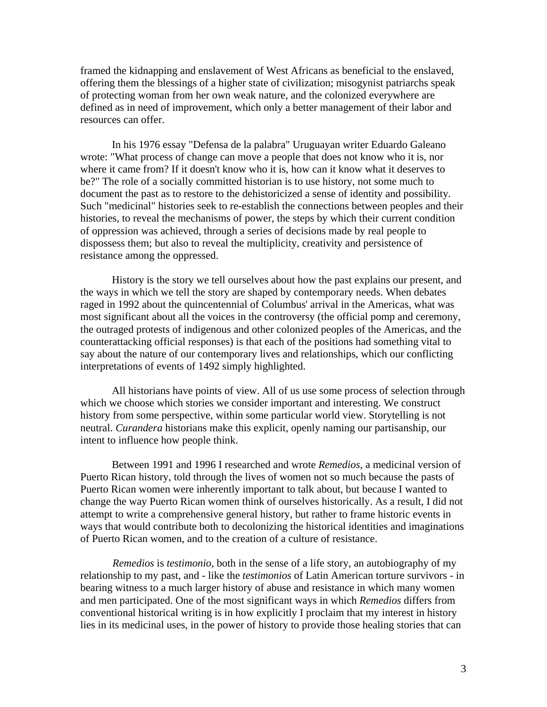framed the kidnapping and enslavement of West Africans as beneficial to the enslaved, offering them the blessings of a higher state of civilization; misogynist patriarchs speak of protecting woman from her own weak nature, and the colonized everywhere are defined as in need of improvement, which only a better management of their labor and resources can offer.

In his 1976 essay "Defensa de la palabra" Uruguayan writer Eduardo Galeano wrote: "What process of change can move a people that does not know who it is, nor where it came from? If it doesn't know who it is, how can it know what it deserves to be?" The role of a socially committed historian is to use history, not some much to document the past as to restore to the dehistoricized a sense of identity and possibility. Such "medicinal" histories seek to re-establish the connections between peoples and their histories, to reveal the mechanisms of power, the steps by which their current condition of oppression was achieved, through a series of decisions made by real people to dispossess them; but also to reveal the multiplicity, creativity and persistence of resistance among the oppressed.

History is the story we tell ourselves about how the past explains our present, and the ways in which we tell the story are shaped by contemporary needs. When debates raged in 1992 about the quincentennial of Columbus' arrival in the Americas, what was most significant about all the voices in the controversy (the official pomp and ceremony, the outraged protests of indigenous and other colonized peoples of the Americas, and the counterattacking official responses) is that each of the positions had something vital to say about the nature of our contemporary lives and relationships, which our conflicting interpretations of events of 1492 simply highlighted.

All historians have points of view. All of us use some process of selection through which we choose which stories we consider important and interesting. We construct history from some perspective, within some particular world view. Storytelling is not neutral. *Curandera* historians make this explicit, openly naming our partisanship, our intent to influence how people think.

Between 1991 and 1996 I researched and wrote *Remedios,* a medicinal version of Puerto Rican history, told through the lives of women not so much because the pasts of Puerto Rican women were inherently important to talk about, but because I wanted to change the way Puerto Rican women think of ourselves historically. As a result, I did not attempt to write a comprehensive general history, but rather to frame historic events in ways that would contribute both to decolonizing the historical identities and imaginations of Puerto Rican women, and to the creation of a culture of resistance.

*Remedios* is *testimonio,* both in the sense of a life story, an autobiography of my relationship to my past, and - like the *testimonios* of Latin American torture survivors - in bearing witness to a much larger history of abuse and resistance in which many women and men participated. One of the most significant ways in which *Remedios* differs from conventional historical writing is in how explicitly I proclaim that my interest in history lies in its medicinal uses, in the power of history to provide those healing stories that can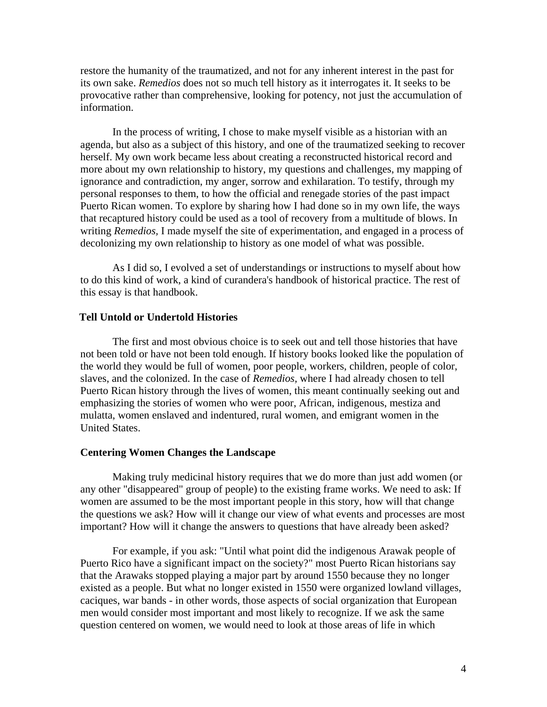restore the humanity of the traumatized, and not for any inherent interest in the past for its own sake. *Remedios* does not so much tell history as it interrogates it. It seeks to be provocative rather than comprehensive, looking for potency, not just the accumulation of information.

In the process of writing, I chose to make myself visible as a historian with an agenda, but also as a subject of this history, and one of the traumatized seeking to recover herself. My own work became less about creating a reconstructed historical record and more about my own relationship to history, my questions and challenges, my mapping of ignorance and contradiction, my anger, sorrow and exhilaration. To testify, through my personal responses to them, to how the official and renegade stories of the past impact Puerto Rican women. To explore by sharing how I had done so in my own life, the ways that recaptured history could be used as a tool of recovery from a multitude of blows. In writing *Remedios,* I made myself the site of experimentation, and engaged in a process of decolonizing my own relationship to history as one model of what was possible.

As I did so, I evolved a set of understandings or instructions to myself about how to do this kind of work, a kind of curandera's handbook of historical practice. The rest of this essay is that handbook.

#### **Tell Untold or Undertold Histories**

The first and most obvious choice is to seek out and tell those histories that have not been told or have not been told enough. If history books looked like the population of the world they would be full of women, poor people, workers, children, people of color, slaves, and the colonized. In the case of *Remedios,* where I had already chosen to tell Puerto Rican history through the lives of women, this meant continually seeking out and emphasizing the stories of women who were poor, African, indigenous, mestiza and mulatta, women enslaved and indentured, rural women, and emigrant women in the United States.

### **Centering Women Changes the Landscape**

Making truly medicinal history requires that we do more than just add women (or any other "disappeared" group of people) to the existing frame works. We need to ask: If women are assumed to be the most important people in this story, how will that change the questions we ask? How will it change our view of what events and processes are most important? How will it change the answers to questions that have already been asked?

For example, if you ask: "Until what point did the indigenous Arawak people of Puerto Rico have a significant impact on the society?" most Puerto Rican historians say that the Arawaks stopped playing a major part by around 1550 because they no longer existed as a people. But what no longer existed in 1550 were organized lowland villages, caciques, war bands - in other words, those aspects of social organization that European men would consider most important and most likely to recognize. If we ask the same question centered on women, we would need to look at those areas of life in which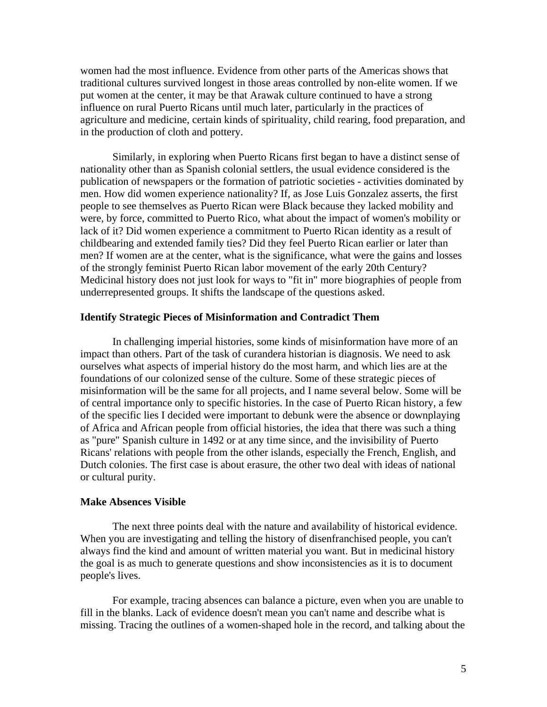women had the most influence. Evidence from other parts of the Americas shows that traditional cultures survived longest in those areas controlled by non-elite women. If we put women at the center, it may be that Arawak culture continued to have a strong influence on rural Puerto Ricans until much later, particularly in the practices of agriculture and medicine, certain kinds of spirituality, child rearing, food preparation, and in the production of cloth and pottery.

Similarly, in exploring when Puerto Ricans first began to have a distinct sense of nationality other than as Spanish colonial settlers, the usual evidence considered is the publication of newspapers or the formation of patriotic societies - activities dominated by men. How did women experience nationality? If, as Jose Luis Gonzalez asserts, the first people to see themselves as Puerto Rican were Black because they lacked mobility and were, by force, committed to Puerto Rico, what about the impact of women's mobility or lack of it? Did women experience a commitment to Puerto Rican identity as a result of childbearing and extended family ties? Did they feel Puerto Rican earlier or later than men? If women are at the center, what is the significance, what were the gains and losses of the strongly feminist Puerto Rican labor movement of the early 20th Century? Medicinal history does not just look for ways to "fit in" more biographies of people from underrepresented groups. It shifts the landscape of the questions asked.

### **Identify Strategic Pieces of Misinformation and Contradict Them**

In challenging imperial histories, some kinds of misinformation have more of an impact than others. Part of the task of curandera historian is diagnosis. We need to ask ourselves what aspects of imperial history do the most harm, and which lies are at the foundations of our colonized sense of the culture. Some of these strategic pieces of misinformation will be the same for all projects, and I name several below. Some will be of central importance only to specific histories. In the case of Puerto Rican history, a few of the specific lies I decided were important to debunk were the absence or downplaying of Africa and African people from official histories, the idea that there was such a thing as "pure" Spanish culture in 1492 or at any time since, and the invisibility of Puerto Ricans' relations with people from the other islands, especially the French, English, and Dutch colonies. The first case is about erasure, the other two deal with ideas of national or cultural purity.

### **Make Absences Visible**

The next three points deal with the nature and availability of historical evidence. When you are investigating and telling the history of disenfranchised people, you can't always find the kind and amount of written material you want. But in medicinal history the goal is as much to generate questions and show inconsistencies as it is to document people's lives.

For example, tracing absences can balance a picture, even when you are unable to fill in the blanks. Lack of evidence doesn't mean you can't name and describe what is missing. Tracing the outlines of a women-shaped hole in the record, and talking about the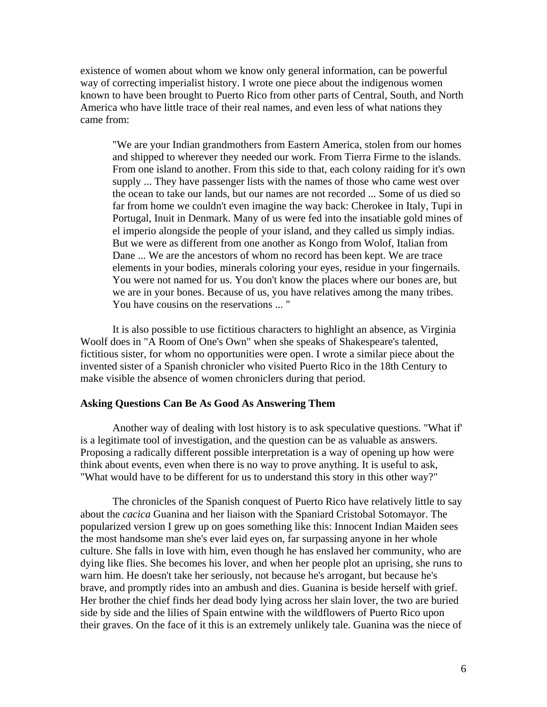existence of women about whom we know only general information, can be powerful way of correcting imperialist history. I wrote one piece about the indigenous women known to have been brought to Puerto Rico from other parts of Central, South, and North America who have little trace of their real names, and even less of what nations they came from:

"We are your Indian grandmothers from Eastern America, stolen from our homes and shipped to wherever they needed our work. From Tierra Firme to the islands. From one island to another. From this side to that, each colony raiding for it's own supply ... They have passenger lists with the names of those who came west over the ocean to take our lands, but our names are not recorded ... Some of us died so far from home we couldn't even imagine the way back: Cherokee in Italy, Tupi in Portugal, Inuit in Denmark. Many of us were fed into the insatiable gold mines of el imperio alongside the people of your island, and they called us simply indias. But we were as different from one another as Kongo from Wolof, Italian from Dane ... We are the ancestors of whom no record has been kept. We are trace elements in your bodies, minerals coloring your eyes, residue in your fingernails. You were not named for us. You don't know the places where our bones are, but we are in your bones. Because of us, you have relatives among the many tribes. You have cousins on the reservations ... "

It is also possible to use fictitious characters to highlight an absence, as Virginia Woolf does in "A Room of One's Own" when she speaks of Shakespeare's talented, fictitious sister, for whom no opportunities were open. I wrote a similar piece about the invented sister of a Spanish chronicler who visited Puerto Rico in the 18th Century to make visible the absence of women chroniclers during that period.

## **Asking Questions Can Be As Good As Answering Them**

Another way of dealing with lost history is to ask speculative questions. "What if' is a legitimate tool of investigation, and the question can be as valuable as answers. Proposing a radically different possible interpretation is a way of opening up how were think about events, even when there is no way to prove anything. It is useful to ask, "What would have to be different for us to understand this story in this other way?"

The chronicles of the Spanish conquest of Puerto Rico have relatively little to say about the *cacica* Guanina and her liaison with the Spaniard Cristobal Sotomayor. The popularized version I grew up on goes something like this: Innocent Indian Maiden sees the most handsome man she's ever laid eyes on, far surpassing anyone in her whole culture. She falls in love with him, even though he has enslaved her community, who are dying like flies. She becomes his lover, and when her people plot an uprising, she runs to warn him. He doesn't take her seriously, not because he's arrogant, but because he's brave, and promptly rides into an ambush and dies. Guanina is beside herself with grief. Her brother the chief finds her dead body lying across her slain lover, the two are buried side by side and the lilies of Spain entwine with the wildflowers of Puerto Rico upon their graves. On the face of it this is an extremely unlikely tale. Guanina was the niece of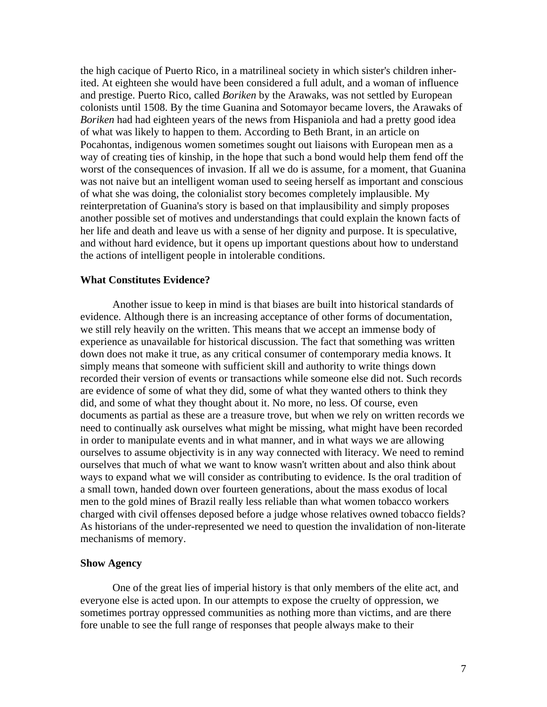the high cacique of Puerto Rico, in a matrilineal society in which sister's children inherited. At eighteen she would have been considered a full adult, and a woman of influence and prestige. Puerto Rico, called *Boriken* by the Arawaks, was not settled by European colonists until 1508. By the time Guanina and Sotomayor became lovers, the Arawaks of *Boriken* had had eighteen years of the news from Hispaniola and had a pretty good idea of what was likely to happen to them. According to Beth Brant, in an article on Pocahontas, indigenous women sometimes sought out liaisons with European men as a way of creating ties of kinship, in the hope that such a bond would help them fend off the worst of the consequences of invasion. If all we do is assume, for a moment, that Guanina was not naive but an intelligent woman used to seeing herself as important and conscious of what she was doing, the colonialist story becomes completely implausible. My reinterpretation of Guanina's story is based on that implausibility and simply proposes another possible set of motives and understandings that could explain the known facts of her life and death and leave us with a sense of her dignity and purpose. It is speculative, and without hard evidence, but it opens up important questions about how to understand the actions of intelligent people in intolerable conditions.

## **What Constitutes Evidence?**

Another issue to keep in mind is that biases are built into historical standards of evidence. Although there is an increasing acceptance of other forms of documentation, we still rely heavily on the written. This means that we accept an immense body of experience as unavailable for historical discussion. The fact that something was written down does not make it true, as any critical consumer of contemporary media knows. It simply means that someone with sufficient skill and authority to write things down recorded their version of events or transactions while someone else did not. Such records are evidence of some of what they did, some of what they wanted others to think they did, and some of what they thought about it. No more, no less. Of course, even documents as partial as these are a treasure trove, but when we rely on written records we need to continually ask ourselves what might be missing, what might have been recorded in order to manipulate events and in what manner, and in what ways we are allowing ourselves to assume objectivity is in any way connected with literacy. We need to remind ourselves that much of what we want to know wasn't written about and also think about ways to expand what we will consider as contributing to evidence. Is the oral tradition of a small town, handed down over fourteen generations, about the mass exodus of local men to the gold mines of Brazil really less reliable than what women tobacco workers charged with civil offenses deposed before a judge whose relatives owned tobacco fields? As historians of the under-represented we need to question the invalidation of non-literate mechanisms of memory.

### **Show Agency**

One of the great lies of imperial history is that only members of the elite act, and everyone else is acted upon. In our attempts to expose the cruelty of oppression, we sometimes portray oppressed communities as nothing more than victims, and are there fore unable to see the full range of responses that people always make to their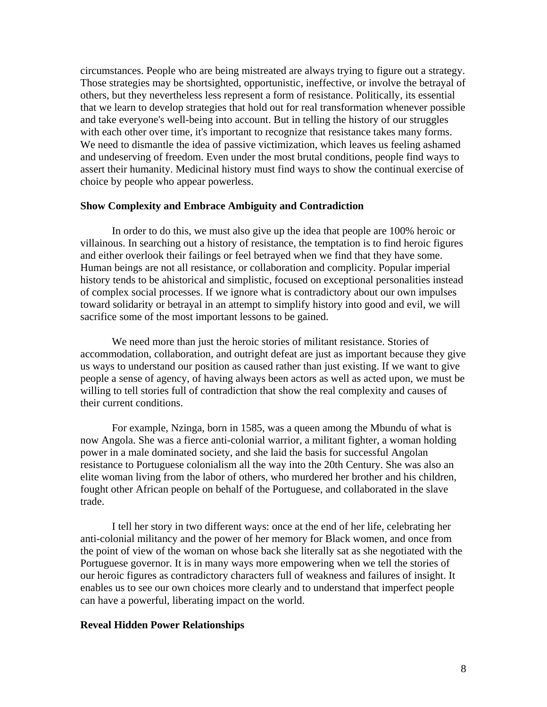circumstances. People who are being mistreated are always trying to figure out a strategy. Those strategies may be shortsighted, opportunistic, ineffective, or involve the betrayal of others, but they nevertheless less represent a form of resistance. Politically, its essential that we learn to develop strategies that hold out for real transformation whenever possible and take everyone's well-being into account. But in telling the history of our struggles with each other over time, it's important to recognize that resistance takes many forms. We need to dismantle the idea of passive victimization, which leaves us feeling ashamed and undeserving of freedom. Even under the most brutal conditions, people find ways to assert their humanity. Medicinal history must find ways to show the continual exercise of choice by people who appear powerless.

## **Show Complexity and Embrace Ambiguity and Contradiction**

In order to do this, we must also give up the idea that people are 100% heroic or villainous. In searching out a history of resistance, the temptation is to find heroic figures and either overlook their failings or feel betrayed when we find that they have some. Human beings are not all resistance, or collaboration and complicity. Popular imperial history tends to be ahistorical and simplistic, focused on exceptional personalities instead of complex social processes. If we ignore what is contradictory about our own impulses toward solidarity or betrayal in an attempt to simplify history into good and evil, we will sacrifice some of the most important lessons to be gained.

We need more than just the heroic stories of militant resistance. Stories of accommodation, collaboration, and outright defeat are just as important because they give us ways to understand our position as caused rather than just existing. If we want to give people a sense of agency, of having always been actors as well as acted upon, we must be willing to tell stories full of contradiction that show the real complexity and causes of their current conditions.

For example, Nzinga, born in 1585, was a queen among the Mbundu of what is now Angola. She was a fierce anti-colonial warrior, a militant fighter, a woman holding power in a male dominated society, and she laid the basis for successful Angolan resistance to Portuguese colonialism all the way into the 20th Century. She was also an elite woman living from the labor of others, who murdered her brother and his children, fought other African people on behalf of the Portuguese, and collaborated in the slave trade.

I tell her story in two different ways: once at the end of her life, celebrating her anti-colonial militancy and the power of her memory for Black women, and once from the point of view of the woman on whose back she literally sat as she negotiated with the Portuguese governor. It is in many ways more empowering when we tell the stories of our heroic figures as contradictory characters full of weakness and failures of insight. It enables us to see our own choices more clearly and to understand that imperfect people can have a powerful, liberating impact on the world.

## **Reveal Hidden Power Relationships**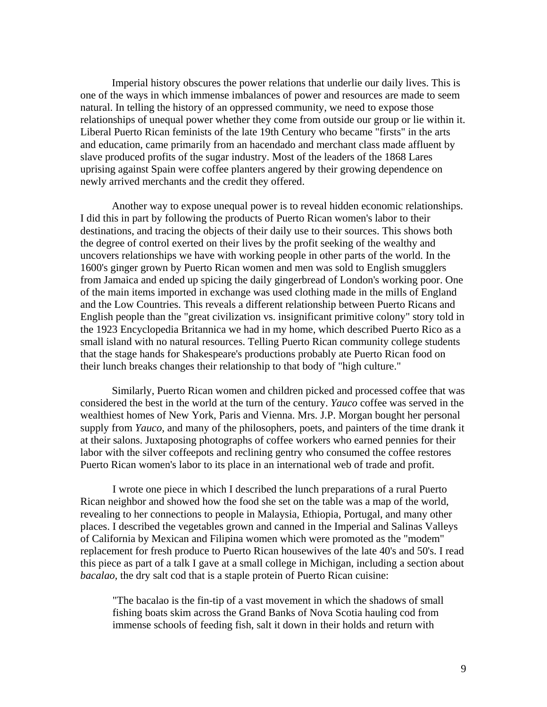Imperial history obscures the power relations that underlie our daily lives. This is one of the ways in which immense imbalances of power and resources are made to seem natural. In telling the history of an oppressed community, we need to expose those relationships of unequal power whether they come from outside our group or lie within it. Liberal Puerto Rican feminists of the late 19th Century who became "firsts" in the arts and education, came primarily from an hacendado and merchant class made affluent by slave produced profits of the sugar industry. Most of the leaders of the 1868 Lares uprising against Spain were coffee planters angered by their growing dependence on newly arrived merchants and the credit they offered.

Another way to expose unequal power is to reveal hidden economic relationships. I did this in part by following the products of Puerto Rican women's labor to their destinations, and tracing the objects of their daily use to their sources. This shows both the degree of control exerted on their lives by the profit seeking of the wealthy and uncovers relationships we have with working people in other parts of the world. In the 1600's ginger grown by Puerto Rican women and men was sold to English smugglers from Jamaica and ended up spicing the daily gingerbread of London's working poor. One of the main items imported in exchange was used clothing made in the mills of England and the Low Countries. This reveals a different relationship between Puerto Ricans and English people than the "great civilization vs. insignificant primitive colony" story told in the 1923 Encyclopedia Britannica we had in my home, which described Puerto Rico as a small island with no natural resources. Telling Puerto Rican community college students that the stage hands for Shakespeare's productions probably ate Puerto Rican food on their lunch breaks changes their relationship to that body of "high culture."

Similarly, Puerto Rican women and children picked and processed coffee that was considered the best in the world at the turn of the century. *Yauco* coffee was served in the wealthiest homes of New York, Paris and Vienna. Mrs. J.P. Morgan bought her personal supply from *Yauco,* and many of the philosophers, poets, and painters of the time drank it at their salons. Juxtaposing photographs of coffee workers who earned pennies for their labor with the silver coffeepots and reclining gentry who consumed the coffee restores Puerto Rican women's labor to its place in an international web of trade and profit.

I wrote one piece in which I described the lunch preparations of a rural Puerto Rican neighbor and showed how the food she set on the table was a map of the world, revealing to her connections to people in Malaysia, Ethiopia, Portugal, and many other places. I described the vegetables grown and canned in the Imperial and Salinas Valleys of California by Mexican and Filipina women which were promoted as the "modem" replacement for fresh produce to Puerto Rican housewives of the late 40's and 50's. I read this piece as part of a talk I gave at a small college in Michigan, including a section about *bacalao,* the dry salt cod that is a staple protein of Puerto Rican cuisine:

"The bacalao is the fin-tip of a vast movement in which the shadows of small fishing boats skim across the Grand Banks of Nova Scotia hauling cod from immense schools of feeding fish, salt it down in their holds and return with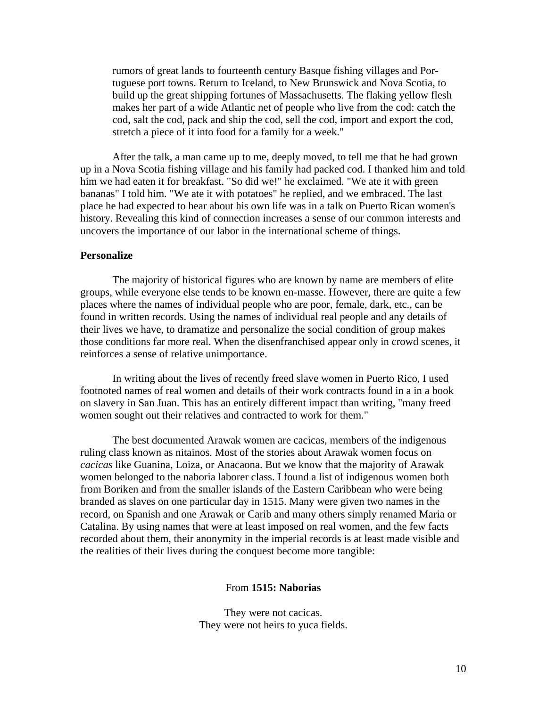rumors of great lands to fourteenth century Basque fishing villages and Portuguese port towns. Return to Iceland, to New Brunswick and Nova Scotia, to build up the great shipping fortunes of Massachusetts. The flaking yellow flesh makes her part of a wide Atlantic net of people who live from the cod: catch the cod, salt the cod, pack and ship the cod, sell the cod, import and export the cod, stretch a piece of it into food for a family for a week."

After the talk, a man came up to me, deeply moved, to tell me that he had grown up in a Nova Scotia fishing village and his family had packed cod. I thanked him and told him we had eaten it for breakfast. "So did we!" he exclaimed. "We ate it with green bananas" I told him. "We ate it with potatoes" he replied, and we embraced. The last place he had expected to hear about his own life was in a talk on Puerto Rican women's history. Revealing this kind of connection increases a sense of our common interests and uncovers the importance of our labor in the international scheme of things.

# **Personalize**

The majority of historical figures who are known by name are members of elite groups, while everyone else tends to be known en-masse. However, there are quite a few places where the names of individual people who are poor, female, dark, etc., can be found in written records. Using the names of individual real people and any details of their lives we have, to dramatize and personalize the social condition of group makes those conditions far more real. When the disenfranchised appear only in crowd scenes, it reinforces a sense of relative unimportance.

In writing about the lives of recently freed slave women in Puerto Rico, I used footnoted names of real women and details of their work contracts found in a in a book on slavery in San Juan. This has an entirely different impact than writing, "many freed women sought out their relatives and contracted to work for them."

The best documented Arawak women are cacicas, members of the indigenous ruling class known as nitainos. Most of the stories about Arawak women focus on *cacicas* like Guanina, Loiza, or Anacaona. But we know that the majority of Arawak women belonged to the naboria laborer class. I found a list of indigenous women both from Boriken and from the smaller islands of the Eastern Caribbean who were being branded as slaves on one particular day in 1515. Many were given two names in the record, on Spanish and one Arawak or Carib and many others simply renamed Maria or Catalina. By using names that were at least imposed on real women, and the few facts recorded about them, their anonymity in the imperial records is at least made visible and the realities of their lives during the conquest become more tangible:

#### From **1515: Naborias**

They were not cacicas. They were not heirs to yuca fields.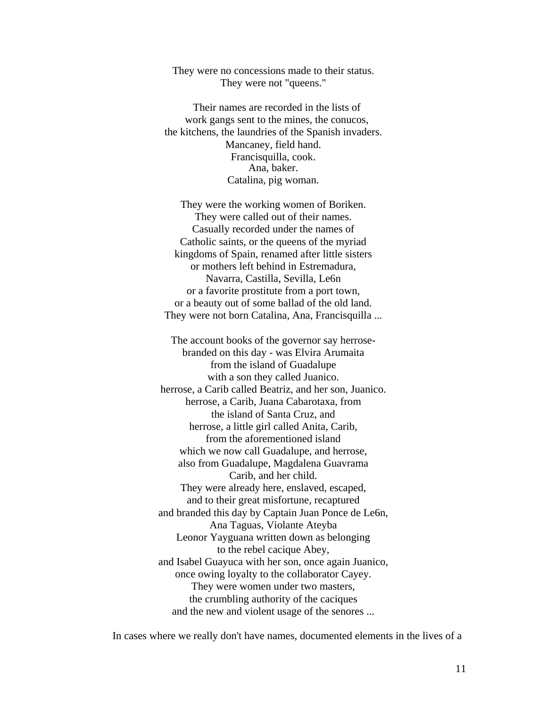They were no concessions made to their status. They were not "queens."

Their names are recorded in the lists of work gangs sent to the mines, the conucos, the kitchens, the laundries of the Spanish invaders. Mancaney, field hand. Francisquilla, cook. Ana, baker. Catalina, pig woman.

They were the working women of Boriken. They were called out of their names. Casually recorded under the names of Catholic saints, or the queens of the myriad kingdoms of Spain, renamed after little sisters or mothers left behind in Estremadura, Navarra, Castilla, Sevilla, Le6n or a favorite prostitute from a port town, or a beauty out of some ballad of the old land. They were not born Catalina, Ana, Francisquilla ...

The account books of the governor say herrosebranded on this day - was Elvira Arumaita from the island of Guadalupe with a son they called Juanico. herrose, a Carib called Beatriz, and her son, Juanico. herrose, a Carib, Juana Cabarotaxa, from the island of Santa Cruz, and herrose, a little girl called Anita, Carib, from the aforementioned island which we now call Guadalupe, and herrose, also from Guadalupe, Magdalena Guavrama Carib, and her child. They were already here, enslaved, escaped, and to their great misfortune, recaptured and branded this day by Captain Juan Ponce de Le6n, Ana Taguas, Violante Ateyba Leonor Yayguana written down as belonging to the rebel cacique Abey, and Isabel Guayuca with her son, once again Juanico, once owing loyalty to the collaborator Cayey. They were women under two masters, the crumbling authority of the caciques and the new and violent usage of the senores ...

In cases where we really don't have names, documented elements in the lives of a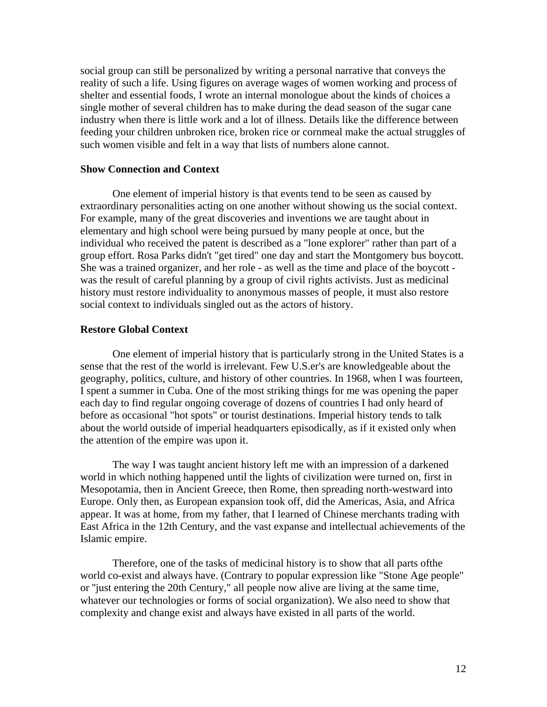social group can still be personalized by writing a personal narrative that conveys the reality of such a life. Using figures on average wages of women working and process of shelter and essential foods, I wrote an internal monologue about the kinds of choices a single mother of several children has to make during the dead season of the sugar cane industry when there is little work and a lot of illness. Details like the difference between feeding your children unbroken rice, broken rice or cornmeal make the actual struggles of such women visible and felt in a way that lists of numbers alone cannot.

## **Show Connection and Context**

 One element of imperial history is that events tend to be seen as caused by extraordinary personalities acting on one another without showing us the social context. For example, many of the great discoveries and inventions we are taught about in elementary and high school were being pursued by many people at once, but the individual who received the patent is described as a "lone explorer" rather than part of a group effort. Rosa Parks didn't "get tired" one day and start the Montgomery bus boycott. She was a trained organizer, and her role - as well as the time and place of the boycott was the result of careful planning by a group of civil rights activists. Just as medicinal history must restore individuality to anonymous masses of people, it must also restore social context to individuals singled out as the actors of history.

# **Restore Global Context**

 One element of imperial history that is particularly strong in the United States is a sense that the rest of the world is irrelevant. Few U.S.er's are knowledgeable about the geography, politics, culture, and history of other countries. In 1968, when I was fourteen, I spent a summer in Cuba. One of the most striking things for me was opening the paper each day to find regular ongoing coverage of dozens of countries I had only heard of before as occasional "hot spots" or tourist destinations. Imperial history tends to talk about the world outside of imperial headquarters episodically, as if it existed only when the attention of the empire was upon it.

 The way I was taught ancient history left me with an impression of a darkened world in which nothing happened until the lights of civilization were turned on, first in Mesopotamia, then in Ancient Greece, then Rome, then spreading north-westward into Europe. Only then, as European expansion took off, did the Americas, Asia, and Africa appear. It was at home, from my father, that I learned of Chinese merchants trading with East Africa in the 12th Century, and the vast expanse and intellectual achievements of the Islamic empire.

Therefore, one of the tasks of medicinal history is to show that all parts ofthe world co-exist and always have. (Contrary to popular expression like "Stone Age people" or ''just entering the 20th Century," all people now alive are living at the same time, whatever our technologies or forms of social organization). We also need to show that complexity and change exist and always have existed in all parts of the world.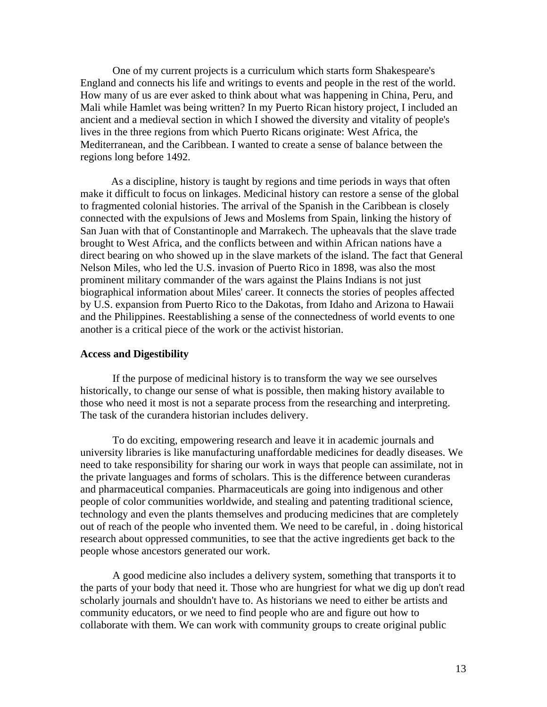One of my current projects is a curriculum which starts form Shakespeare's England and connects his life and writings to events and people in the rest of the world. How many of us are ever asked to think about what was happening in China, Peru, and Mali while Hamlet was being written? In my Puerto Rican history project, I included an ancient and a medieval section in which I showed the diversity and vitality of people's lives in the three regions from which Puerto Ricans originate: West Africa, the Mediterranean, and the Caribbean. I wanted to create a sense of balance between the regions long before 1492.

As a discipline, history is taught by regions and time periods in ways that often make it difficult to focus on linkages. Medicinal history can restore a sense of the global to fragmented colonial histories. The arrival of the Spanish in the Caribbean is closely connected with the expulsions of Jews and Moslems from Spain, linking the history of San Juan with that of Constantinople and Marrakech. The upheavals that the slave trade brought to West Africa, and the conflicts between and within African nations have a direct bearing on who showed up in the slave markets of the island. The fact that General Nelson Miles, who led the U.S. invasion of Puerto Rico in 1898, was also the most prominent military commander of the wars against the Plains Indians is not just biographical information about Miles' career. It connects the stories of peoples affected by U.S. expansion from Puerto Rico to the Dakotas, from Idaho and Arizona to Hawaii and the Philippines. Reestablishing a sense of the connectedness of world events to one another is a critical piece of the work or the activist historian.

### **Access and Digestibility**

If the purpose of medicinal history is to transform the way we see ourselves historically, to change our sense of what is possible, then making history available to those who need it most is not a separate process from the researching and interpreting. The task of the curandera historian includes delivery.

To do exciting, empowering research and leave it in academic journals and university libraries is like manufacturing unaffordable medicines for deadly diseases. We need to take responsibility for sharing our work in ways that people can assimilate, not in the private languages and forms of scholars. This is the difference between curanderas and pharmaceutical companies. Pharmaceuticals are going into indigenous and other people of color communities worldwide, and stealing and patenting traditional science, technology and even the plants themselves and producing medicines that are completely out of reach of the people who invented them. We need to be careful, in . doing historical research about oppressed communities, to see that the active ingredients get back to the people whose ancestors generated our work.

A good medicine also includes a delivery system, something that transports it to the parts of your body that need it. Those who are hungriest for what we dig up don't read scholarly journals and shouldn't have to. As historians we need to either be artists and community educators, or we need to find people who are and figure out how to collaborate with them. We can work with community groups to create original public